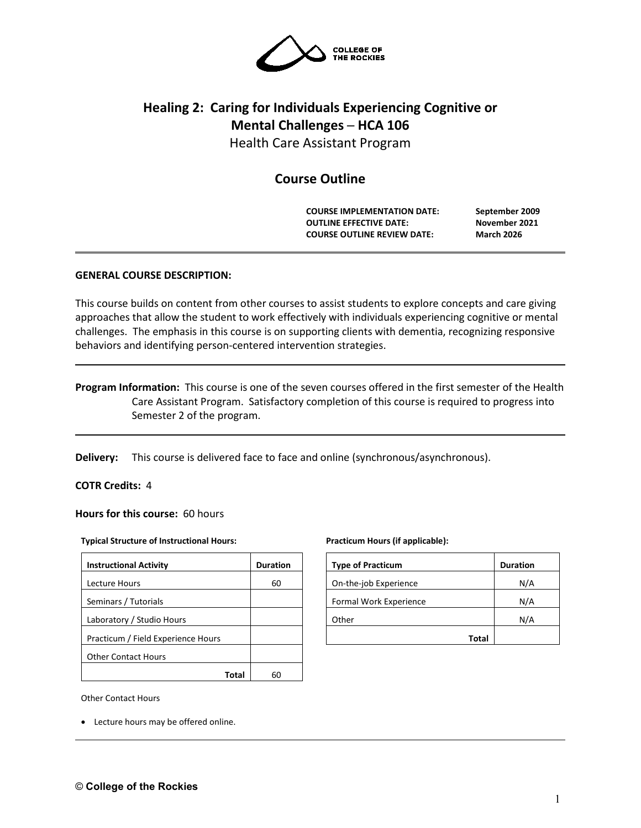

# **Healing 2: Caring for Individuals Experiencing Cognitive or Mental Challenges ─ HCA 106**

Health Care Assistant Program

# **Course Outline**

**COURSE IMPLEMENTATION DATE: September 2009 OUTLINE EFFECTIVE DATE: November 2021 COURSE OUTLINE REVIEW DATE: March 2026**

# **GENERAL COURSE DESCRIPTION:**

This course builds on content from other courses to assist students to explore concepts and care giving approaches that allow the student to work effectively with individuals experiencing cognitive or mental challenges. The emphasis in this course is on supporting clients with dementia, recognizing responsive behaviors and identifying person-centered intervention strategies.

# **Program Information:** This course is one of the seven courses offered in the first semester of the Health Care Assistant Program. Satisfactory completion of this course is required to progress into Semester 2 of the program.

**Delivery:** This course is delivered face to face and online (synchronous/asynchronous).

# **COTR Credits:** 4

**Hours for this course:** 60 hours

#### **Typical Structure of Instructional Hours:**

| <b>Instructional Activity</b>      | <b>Duration</b> |  |  |
|------------------------------------|-----------------|--|--|
| Lecture Hours                      | 60              |  |  |
| Seminars / Tutorials               |                 |  |  |
| Laboratory / Studio Hours          |                 |  |  |
| Practicum / Field Experience Hours |                 |  |  |
| <b>Other Contact Hours</b>         |                 |  |  |
|                                    |                 |  |  |

#### **Practicum Hours (if applicable):**

| <b>Type of Practicum</b> | <b>Duration</b> |
|--------------------------|-----------------|
| On-the-job Experience    | N/A             |
| Formal Work Experience   | N/A             |
| Other                    | N/A             |
| Total                    |                 |

Other Contact Hours

• Lecture hours may be offered online.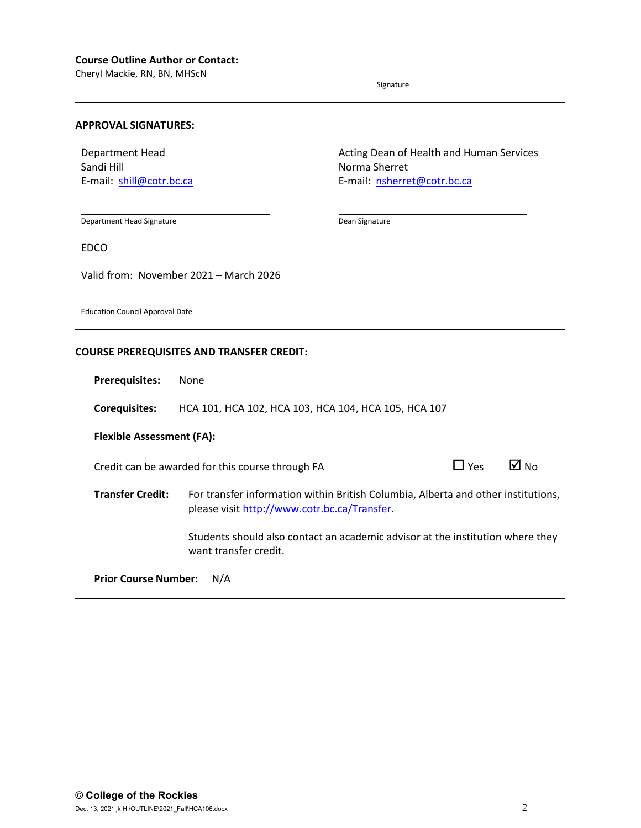Cheryl Mackie, RN, BN, MHScN

Signature

Dean Signature

#### **APPROVAL SIGNATURES:**

Department Head Sandi Hill E-mail: [shill@cotr.bc.ca](mailto:shill@cotr.bc.ca) Acting Dean of Health and Human Services Norma Sherret E-mail: [nsherret@cotr.bc.ca](mailto:nsherret@cotr.bc.ca)

Department Head Signature

EDCO

Valid from: November 2021 – March 2026

Education Council Approval Date

# **COURSE PREREQUISITES AND TRANSFER CREDIT:**

**Prerequisites:** None

**Corequisites:** HCA 101, HCA 102, HCA 103, HCA 104, HCA 105, HCA 107

# **Flexible Assessment (FA):**

Credit can be awarded for this course through FA  $\Box$  Yes  $\Box$  No

**Transfer Credit:** For transfer information within British Columbia, Alberta and other institutions, please visit [http://www.cotr.bc.ca/Transfer.](http://www.cotr.bc.ca/Transfer)

> Students should also contact an academic advisor at the institution where they want transfer credit.

**Prior Course Number:** N/A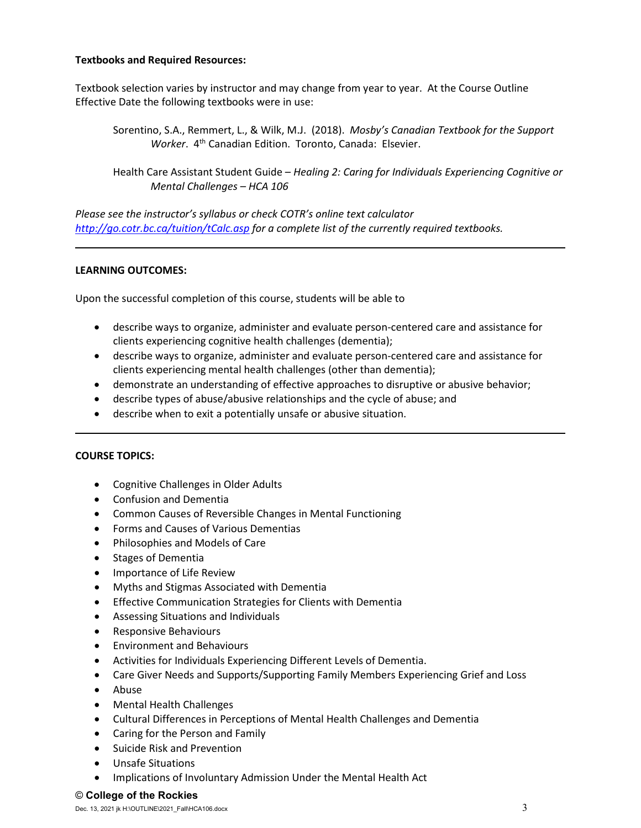# **Textbooks and Required Resources:**

Textbook selection varies by instructor and may change from year to year. At the Course Outline Effective Date the following textbooks were in use:

Sorentino, S.A., Remmert, L., & Wilk, M.J. (2018). *Mosby's Canadian Textbook for the Support Worker*. 4th Canadian Edition. Toronto, Canada: Elsevier.

Health Care Assistant Student Guide – *Healing 2: Caring for Individuals Experiencing Cognitive or Mental Challenges – HCA 106*

*Please see the instructor's syllabus or check COTR's online text calculator <http://go.cotr.bc.ca/tuition/tCalc.asp> for a complete list of the currently required textbooks.*

# **LEARNING OUTCOMES:**

Upon the successful completion of this course, students will be able to

- describe ways to organize, administer and evaluate person-centered care and assistance for clients experiencing cognitive health challenges (dementia);
- describe ways to organize, administer and evaluate person-centered care and assistance for clients experiencing mental health challenges (other than dementia);
- demonstrate an understanding of effective approaches to disruptive or abusive behavior;
- describe types of abuse/abusive relationships and the cycle of abuse; and
- describe when to exit a potentially unsafe or abusive situation.

# **COURSE TOPICS:**

- Cognitive Challenges in Older Adults
- Confusion and Dementia
- Common Causes of Reversible Changes in Mental Functioning
- Forms and Causes of Various Dementias
- Philosophies and Models of Care
- Stages of Dementia
- Importance of Life Review
- Myths and Stigmas Associated with Dementia
- Effective Communication Strategies for Clients with Dementia
- Assessing Situations and Individuals
- Responsive Behaviours
- Environment and Behaviours
- Activities for Individuals Experiencing Different Levels of Dementia.
- Care Giver Needs and Supports/Supporting Family Members Experiencing Grief and Loss
- Abuse
- Mental Health Challenges
- Cultural Differences in Perceptions of Mental Health Challenges and Dementia
- Caring for the Person and Family
- Suicide Risk and Prevention
- Unsafe Situations
- Implications of Involuntary Admission Under the Mental Health Act

#### © **College of the Rockies**